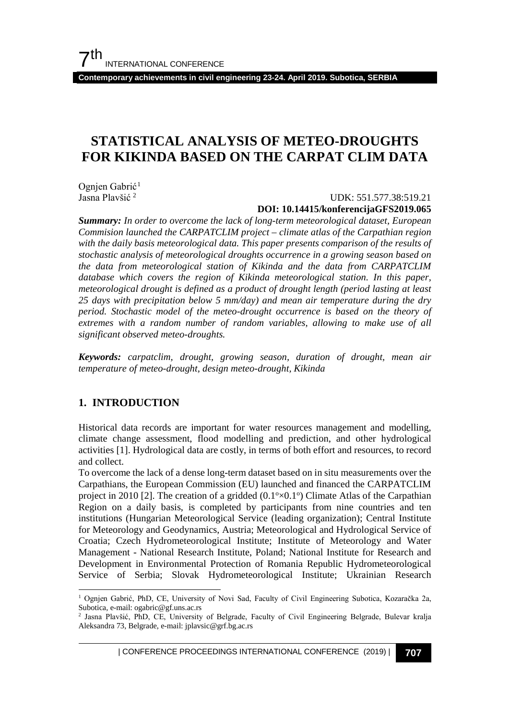**Contemporary achievements in civil engineering 23-24. April 2019. Subotica, SERBIA**

## **STATISTICAL ANALYSIS OF METEO-DROUGHTS FOR KIKINDA BASED ON THE CARPAT CLIM DATA**

Ognjen Gabrić<sup>[1](#page-0-0)</sup><br>Jasna Plavšić<sup>2</sup>

Jasna Plavšić [2](#page-0-1) UDK: 551.577.38:519.21

#### **DOI: 10.14415/konferencijaGFS2019.065**

*Summary: In order to overcome the lack of long-term meteorological dataset, European Commision launched the CARPATCLIM project – climate atlas of the Carpathian region with the daily basis meteorological data. This paper presents comparison of the results of stochastic analysis of meteorological droughts occurrence in a growing season based on the data from meteorological station of Kikinda and the data from CARPATCLIM database which covers the region of Kikinda meteorological station. In this paper, meteorological drought is defined as a product of drought length (period lasting at least 25 days with precipitation below 5 mm/day) and mean air temperature during the dry period. Stochastic model of the meteo-drought occurrence is based on the theory of extremes with a random number of random variables, allowing to make use of all significant observed meteo-droughts.*

*Keywords: carpatclim, drought, growing season, duration of drought, mean air temperature of meteo-drought, design meteo-drought, Kikinda*

#### **1. INTRODUCTION**

Historical data records are important for water resources management and modelling, climate change assessment, flood modelling and prediction, and other hydrological activities [1]. Hydrological data are costly, in terms of both effort and resources, to record and collect.

To overcome the lack of a dense long-term dataset based on in situ measurements over the Carpathians, the European Commission (EU) launched and financed the CARPATCLIM project in 2010 [2]. The creation of a gridded  $(0.1\textdegree\times0.1\textdegree)$  Climate Atlas of the Carpathian Region on a daily basis, is completed by participants from nine countries and ten institutions (Hungarian Meteorological Service (leading organization); Central Institute for Meteorology and Geodynamics, Austria; Meteorological and Hydrological Service of Croatia; Czech Hydrometeorological Institute; Institute of Meteorology and Water Management - National Research Institute, Poland; National Institute for Research and Development in Environmental Protection of Romania Republic Hydrometeorological Service of Serbia; Slovak Hydrometeorological Institute; Ukrainian Research

| CONFERENCE PROCEEDINGS INTERNATIONAL CONFERENCE (2019) <sup>|</sup>**707**

<span id="page-0-0"></span> <sup>1</sup> Ognjen Gabrić, PhD, CE, University of Novi Sad, Faculty of Civil Engineering Subotica, Kozaračka 2a, Subotica, e-mail: ogabric@gf.uns.ac.rs

<span id="page-0-1"></span><sup>2</sup> Jasna Plavšić, PhD, CE, University of Belgrade, Faculty of Civil Engineering Belgrade, Bulevar kralja Aleksandra 73, Belgrade, e-mail: jplavsic@grf.bg.ac.rs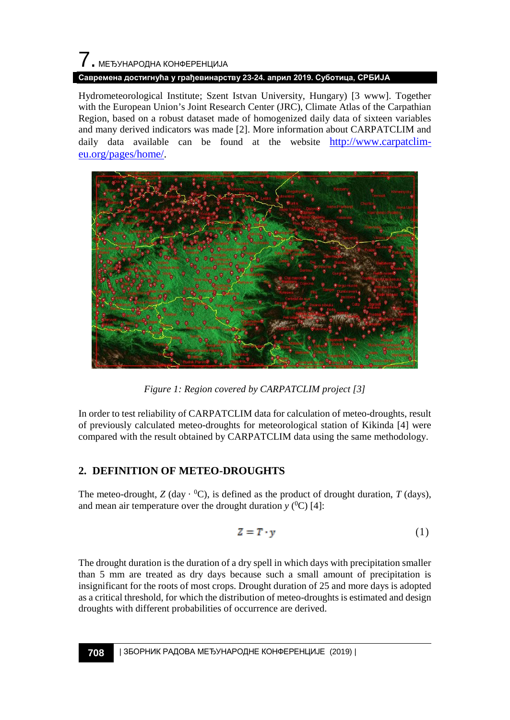# 7. МЕЂУНАРОДНА КОНФЕРЕНЦИЈА

#### **Савремена достигнућа у грађевинарству 23-24. април 2019. Суботица, СРБИЈА**

Hydrometeorological Institute; Szent Istvan University, Hungary) [3 www]. Together with the European Union's Joint Research Center (JRC), Climate Atlas of the Carpathian Region, based on a robust dataset made of homogenized daily data of sixteen variables and many derived indicators was made [2]. More information about CARPATCLIM and daily data available can be found at the website [http://www.carpatclim](http://www.carpatclim-eu.org/pages/home/)[eu.org/pages/home/.](http://www.carpatclim-eu.org/pages/home/)



*Figure 1: Region covered by CARPATCLIM project [3]*

In order to test reliability of CARPATCLIM data for calculation of meteo-droughts, result of previously calculated meteo-droughts for meteorological station of Kikinda [4] were compared with the result obtained by CARPATCLIM data using the same methodology.

## **2. DEFINITION OF METEO-DROUGHTS**

The meteo-drought,  $Z$  (day  $\cdot {}^{0}C$ ), is defined as the product of drought duration,  $T$  (days), and mean air temperature over the drought duration  $y$  (<sup>0</sup>C) [4]:

$$
Z = T \cdot y \tag{1}
$$

The drought duration is the duration of a dry spell in which days with precipitation smaller than 5 mm are treated as dry days because such a small amount of precipitation is insignificant for the roots of most crops. Drought duration of 25 and more days is adopted as a critical threshold, for which the distribution of meteo-droughts is estimated and design droughts with different probabilities of occurrence are derived.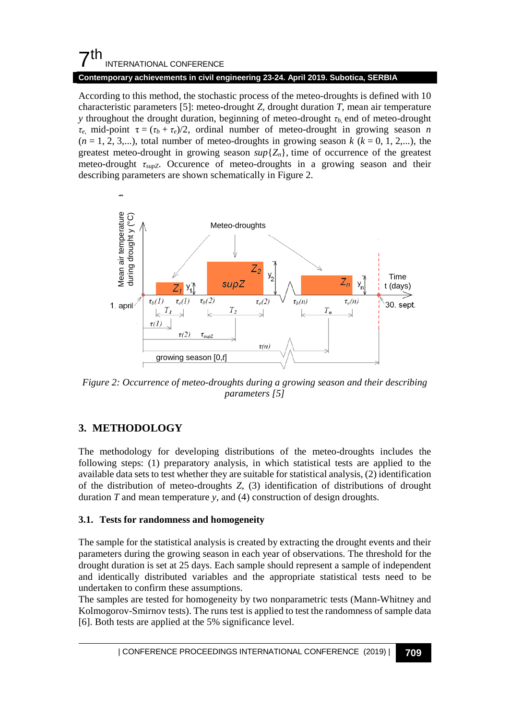#### **Contemporary achievements in civil engineering 23-24. April 2019. Subotica, SERBIA**

According to this method, the stochastic process of the meteo-droughts is defined with 10 characteristic parameters [5]: meteo-drought *Z,* drought duration *T,* mean air temperature *y* throughout the drought duration, beginning of meteo-drought *τb,* end of meteo-drought *τ*<sub>*e*</sub>, mid-point  $\tau = (\tau_b + \tau_e)/2$ , ordinal number of meteo-drought in growing season *n*  $(n = 1, 2, 3,...)$ , total number of meteo-droughts in growing season  $k$  ( $k = 0, 1, 2,...$ ), the greatest meteo-drought in growing season  $\sup\{Z_n\}$ , time of occurrence of the greatest meteo-drought *τsupZ*. Occurence of meteo-droughts in a growing season and their describing parameters are shown schematically in Figure 2.



*Figure 2: Occurrence of meteo-droughts during a growing season and their describing parameters [5]*

## **3. METHODOLOGY**

The methodology for developing distributions of the meteo-droughts includes the following steps: (1) preparatory analysis, in which statistical tests are applied to the available data sets to test whether they are suitable for statistical analysis, (2) identification of the distribution of meteo-droughts *Z*, (3) identification of distributions of drought duration *T* and mean temperature *y*, and (4) construction of design droughts.

#### **3.1. Tests for randomness and homogeneity**

The sample for the statistical analysis is created by extracting the drought events and their parameters during the growing season in each year of observations. The threshold for the drought duration is set at 25 days. Each sample should represent a sample of independent and identically distributed variables and the appropriate statistical tests need to be undertaken to confirm these assumptions.

The samples are tested for homogeneity by two nonparametric tests (Mann-Whitney and Kolmogorov-Smirnov tests). The runs test is applied to test the randomness of sample data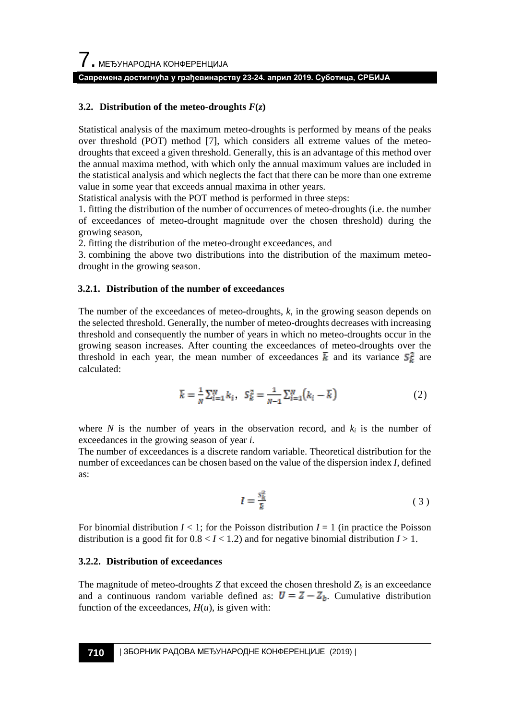#### **Савремена достигнућа у грађевинарству 23-24. април 2019. Суботица, СРБИЈА**

#### **3.2. Distribution of the meteo-droughts**  $F(z)$

Statistical analysis of the maximum meteo-droughts is performed by means of the peaks over threshold (POT) method [7], which considers all extreme values of the meteodroughts that exceed a given threshold. Generally, this is an advantage of this method over the annual maxima method, with which only the annual maximum values are included in the statistical analysis and which neglects the fact that there can be more than one extreme value in some year that exceeds annual maxima in other years.

Statistical analysis with the POT method is performed in three steps:

1. fitting the distribution of the number of occurrences of meteo-droughts (i.e. the number of exceedances of meteo-drought magnitude over the chosen threshold) during the growing season,

2. fitting the distribution of the meteo-drought exceedances, and

3. combining the above two distributions into the distribution of the maximum meteodrought in the growing season.

#### **3.2.1. Distribution of the number of exceedances**

The number of the exceedances of meteo-droughts, *k*, in the growing season depends on the selected threshold. Generally, the number of meteo-droughts decreases with increasing threshold and consequently the number of years in which no meteo-droughts occur in the growing season increases. After counting the exceedances of meteo-droughts over the threshold in each year, the mean number of exceedances  $\bar{k}$  and its variance  $S_{k}^{2}$  are calculated:

$$
\bar{k} = \frac{1}{N} \sum_{i=1}^{N} k_i, \quad S_k^2 = \frac{1}{N-1} \sum_{i=1}^{N} (k_i - \bar{k})
$$
 (2)

where *N* is the number of years in the observation record, and  $k_i$  is the number of exceedances in the growing season of year *i*.

The number of exceedances is a discrete random variable. Theoretical distribution for the number of exceedances can be chosen based on the value of the dispersion index *I*, defined as:

$$
I = \frac{s_k^2}{k} \tag{3}
$$

For binomial distribution  $I \leq 1$ ; for the Poisson distribution  $I = 1$  (in practice the Poisson distribution is a good fit for  $0.8 < I < 1.2$ ) and for negative binomial distribution  $I > 1$ .

#### **3.2.2. Distribution of exceedances**

The magnitude of meteo-droughts  $Z$  that exceed the chosen threshold  $Z_b$  is an exceedance and a continuous random variable defined as:  $\mathbf{U} = \mathbf{Z} - \mathbf{Z}_b$ . Cumulative distribution function of the exceedances,  $H(u)$ , is given with: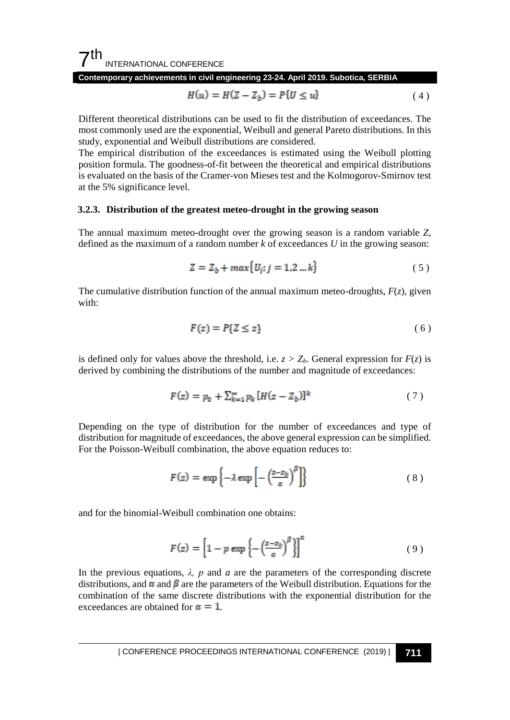**Contemporary achievements in civil engineering 23-24. April 2019. Subotica, SERBIA**

$$
H(u) = H(Z - Z_b) = P\{U \le u\}
$$
\n<sup>(4)</sup>

Different theoretical distributions can be used to fit the distribution of exceedances. The most commonly used are the exponential, Weibull and general Pareto distributions. In this study, exponential and Weibull distributions are considered.

The empirical distribution of the exceedances is estimated using the Weibull plotting position formula. The goodness-of-fit between the theoretical and empirical distributions is evaluated on the basis of the Cramer-von Mieses test and the Kolmogorov-Smirnov test at the 5% significance level.

#### **3.2.3. Distribution of the greatest meteo-drought in the growing season**

The annual maximum meteo-drought over the growing season is a random variable *Z*, defined as the maximum of a random number *k* of exceedances *U* in the growing season:

$$
Z = Z_b + \max\{U_j; j = 1, 2 \dots k\}
$$
 (5)

The cumulative distribution function of the annual maximum meteo-droughts, *F*(*z*)*,* given with:

$$
F(z) = P\{Z \le z\} \tag{6}
$$

is defined only for values above the threshold, i.e.  $z > Z_b$ . General expression for  $F(z)$  is derived by combining the distributions of the number and magnitude of exceedances:

$$
F(z) = p_0 + \sum_{k=1}^{\infty} p_k [H(z - Z_b)]^k
$$
 (7)

Depending on the type of distribution for the number of exceedances and type of distribution for magnitude of exceedances, the above general expression can be simplified. For the Poisson-Weibull combination, the above equation reduces to:

$$
F(z) = \exp\left\{-\lambda \exp\left[-\left(\frac{z-z_b}{\alpha}\right)^{\beta}\right]\right\} \tag{8}
$$

and for the binomial-Weibull combination one obtains:

$$
F(z) = \left[1 - p \exp\left\{-\left(\frac{z - z_b}{\alpha}\right)^{\beta}\right\}\right]^{\alpha} \tag{9}
$$

In the previous equations,  $\lambda$ , p and a are the parameters of the corresponding discrete distributions, and  $\alpha$  and  $\beta$  are the parameters of the Weibull distribution. Equations for the combination of the same discrete distributions with the exponential distribution for the exceedances are obtained for  $\alpha = 1$ .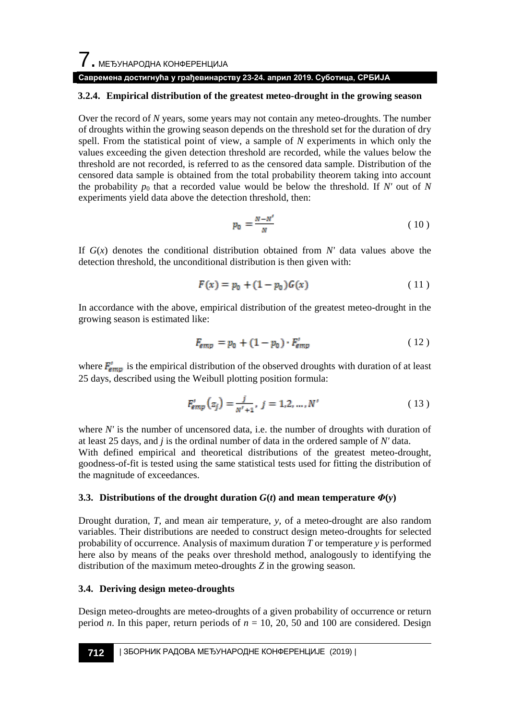$\overline{\phantom{a}}$ . МЕЂУНАРОДНА КОНФЕРЕНЦИЈА

#### **Савремена достигнућа у грађевинарству 23-24. април 2019. Суботица, СРБИЈА**

#### **3.2.4. Empirical distribution of the greatest meteo-drought in the growing season**

Over the record of *N* years, some years may not contain any meteo-droughts. The number of droughts within the growing season depends on the threshold set for the duration of dry spell. From the statistical point of view, a sample of *N* experiments in which only the values exceeding the given detection threshold are recorded, while the values below the threshold are not recorded, is referred to as the censored data sample. Distribution of the censored data sample is obtained from the total probability theorem taking into account the probability  $p_0$  that a recorded value would be below the threshold. If N' out of N experiments yield data above the detection threshold, then:

$$
p_0 = \frac{N - N'}{N} \tag{10}
$$

If  $G(x)$  denotes the conditional distribution obtained from N' data values above the detection threshold, the unconditional distribution is then given with:

$$
F(x) = p_0 + (1 - p_0)G(x)
$$
 (11)

In accordance with the above, empirical distribution of the greatest meteo-drought in the growing season is estimated like:

$$
F_{\text{emp}} = p_0 + (1 - p_0) \cdot F_{\text{emp}}'
$$
 (12)

where  $\mathbf{F}_{\text{emp}}^{\text{t}}$  is the empirical distribution of the observed droughts with duration of at least 25 days, described using the Weibull plotting position formula:

$$
F_{\rm emp}^{\prime}(z_j) = \frac{j}{N^{\prime} + 1}, \ j = 1, 2, \dots, N^{\prime}
$$
 (13)

where *N'* is the number of uncensored data, i.e. the number of droughts with duration of at least 25 days, and *j* is the ordinal number of data in the ordered sample of *N'* data. With defined empirical and theoretical distributions of the greatest meteo-drought, goodness-of-fit is tested using the same statistical tests used for fitting the distribution of the magnitude of exceedances.

#### **3.3. Distributions of the drought duration**  $G(t)$  **and mean temperature**  $\Phi(\mathbf{v})$

Drought duration, *T,* and mean air temperature, *y,* of a meteo-drought are also random variables. Their distributions are needed to construct design meteo-droughts for selected probability of occurrence. Analysis of maximum duration *T* or temperature *y* is performed here also by means of the peaks over threshold method, analogously to identifying the distribution of the maximum meteo-droughts *Z* in the growing season.

#### **3.4. Deriving design meteo-droughts**

Design meteo-droughts are meteo-droughts of a given probability of occurrence or return period *n*. In this paper, return periods of  $n = 10, 20, 50$  and 100 are considered. Design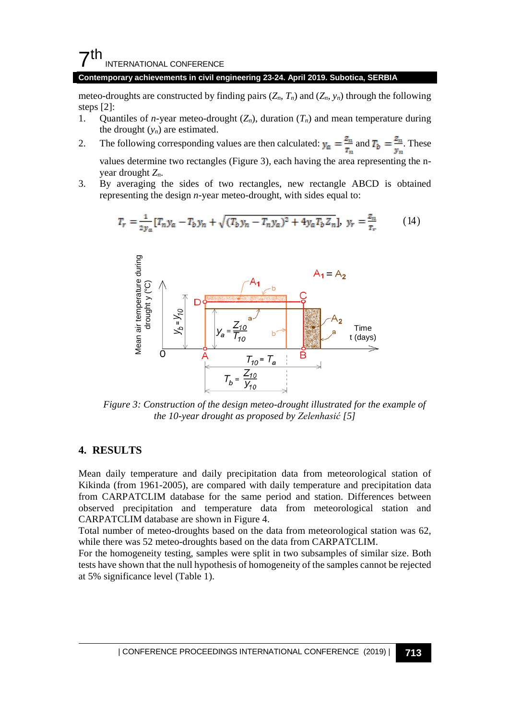#### **Contemporary achievements in civil engineering 23-24. April 2019. Subotica, SERBIA**

meteo-droughts are constructed by finding pairs  $(Z_n, T_n)$  and  $(Z_n, y_n)$  through the following steps [2]:

- 1. Quantiles of *n*-year meteo-drought  $(Z_n)$ , duration  $(T_n)$  and mean temperature during the drought  $(y_n)$  are estimated.
- 2. The following corresponding values are then calculated:  $y_{\alpha} = \frac{z_n}{r_n}$  and  $T_b = \frac{z_n}{y_n}$ . These values determine two rectangles (Figure 3), each having the area representing the nyear drought *Zn*.
- 3. By averaging the sides of two rectangles, new rectangle ABCD is obtained representing the design *n*-year meteo-drought, with sides equal to:

$$
T_r = \frac{1}{2y_a} [T_n y_a - T_b y_n + \sqrt{(T_b y_n - T_n y_a)^2 + 4y_a T_b Z_n}], \ y_r = \frac{z_n}{z_r}
$$
 (14)



*Figure 3: Construction of the design meteo-drought illustrated for the example of the 10-year drought as proposed by Zelenhasić [5]*

#### **4. RESULTS**

Mean daily temperature and daily precipitation data from meteorological station of Kikinda (from 1961-2005), are compared with daily temperature and precipitation data from CARPATCLIM database for the same period and station. Differences between observed precipitation and temperature data from meteorological station and CARPATCLIM database are shown in Figure 4.

Total number of meteo-droughts based on the data from meteorological station was 62, while there was 52 meteo-droughts based on the data from CARPATCLIM.

For the homogeneity testing, samples were split in two subsamples of similar size. Both tests have shown that the null hypothesis of homogeneity of the samples cannot be rejected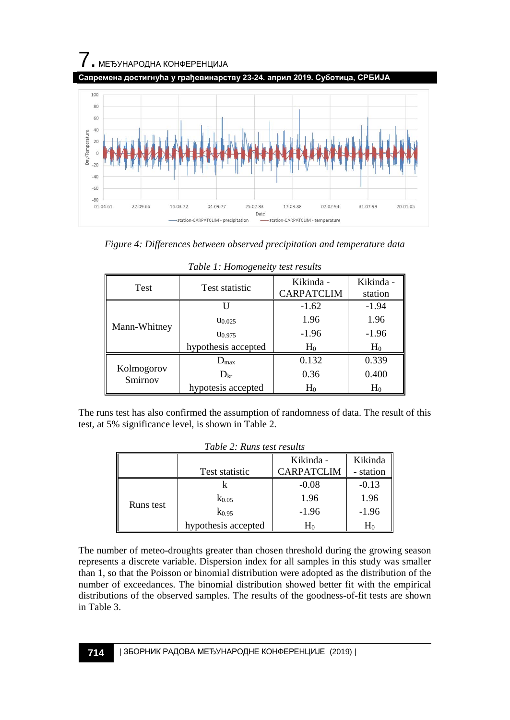



| Test                  | <b>Test statistic</b> | Kikinda -<br><b>CARPATCLIM</b> | Kikinda -<br>station |
|-----------------------|-----------------------|--------------------------------|----------------------|
|                       |                       | $-1.62$                        | $-1.94$              |
| Mann-Whitney          | $u_{0.025}$           | 1.96                           | 1.96                 |
|                       | U <sub>0.975</sub>    | $-1.96$                        | $-1.96$              |
|                       | hypothesis accepted   | $H_0$                          | $H_0$                |
|                       | $D_{\text{max}}$      | 0.132                          | 0.339                |
| Kolmogorov<br>Smirnov | $D_{\rm kr}$          | 0.36                           | 0.400                |
|                       | hypotesis accepted    | $H_0$                          | $H_0$                |

|  | Table 1: Homogeneity test results |  |
|--|-----------------------------------|--|
|--|-----------------------------------|--|

The runs test has also confirmed the assumption of randomness of data. The result of this test, at 5% significance level, is shown in Table 2.

| Table 2: Runs test results |                     |                   |           |  |  |
|----------------------------|---------------------|-------------------|-----------|--|--|
|                            |                     | Kikinda -         | Kikinda   |  |  |
| Test statistic             |                     | <b>CARPATCLIM</b> | - station |  |  |
| Runs test                  |                     | $-0.08$           | $-0.13$   |  |  |
|                            | $K_{0.05}$          | 1.96              | 1.96      |  |  |
|                            | $k_{0.95}$          | $-1.96$           | $-1.96$   |  |  |
|                            | hypothesis accepted | $\rm H_0$         | $\rm H_0$ |  |  |

| Table 2: Runs test results |  |  |  |
|----------------------------|--|--|--|
|----------------------------|--|--|--|

The number of meteo-droughts greater than chosen threshold during the growing season represents a discrete variable. Dispersion index for all samples in this study was smaller than 1, so that the Poisson or binomial distribution were adopted as the distribution of the number of exceedances. The binomial distribution showed better fit with the empirical distributions of the observed samples. The results of the goodness-of-fit tests are shown in Table 3.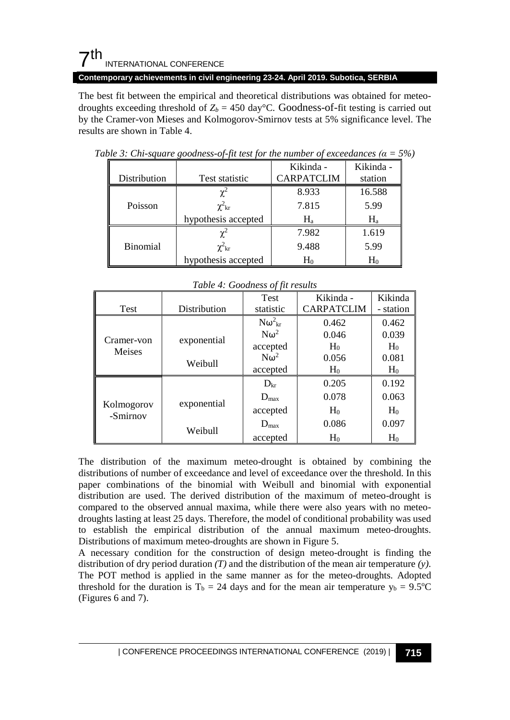**Contemporary achievements in civil engineering 23-24. April 2019. Subotica, SERBIA**

The best fit between the empirical and theoretical distributions was obtained for meteodroughts exceeding threshold of  $Z_b = 450 \text{ day}^{\circ}\text{C}$ . Goodness-of-fit testing is carried out by the Cramer-von Mieses and Kolmogorov-Smirnov tests at 5% significance level. The results are shown in Table 4.

|                 |                     | Kikinda -         | Kikinda - |
|-----------------|---------------------|-------------------|-----------|
| Distribution    | Test statistic      | <b>CARPATCLIM</b> | station   |
|                 |                     | 8.933             | 16.588    |
| Poisson         | $\chi^2_{\rm kr}$   | 7.815             | 5.99      |
|                 | hypothesis accepted | H,                | $H_{a}$   |
|                 |                     | 7.982             | 1.619     |
| <b>Binomial</b> | $\chi^2_{\rm kr}$   | 9.488             | 5.99      |
|                 | hypothesis accepted | $H_0$             | $H_0$     |

*Table* 3: Chi-square goodness-of-fit test for the number of exceedances  $(a = 5\%)$ 

|                        |              | $\cdots$ $\sim$ $\sim$ $\cdots$ $\sim$ $\cdots$ $\sim$ $\sim$ $\cdots$<br><b>Test</b> | Kikinda -         | Kikinda        |
|------------------------|--------------|---------------------------------------------------------------------------------------|-------------------|----------------|
| Test                   | Distribution | statistic                                                                             | <b>CARPATCLIM</b> | - station      |
|                        |              | $N\omega_{\rm kr}^2$                                                                  | 0.462             | 0.462          |
| Cramer-von             | exponential  | $N\omega^2$                                                                           | 0.046             | 0.039          |
| Meises                 |              | accepted                                                                              | $H_0$             | H <sub>0</sub> |
|                        | Weibull      | $N\omega^2$                                                                           | 0.056             | 0.081          |
|                        |              | accepted                                                                              | H <sub>0</sub>    | H <sub>0</sub> |
|                        |              | $D_{\rm kr}$                                                                          | 0.205             | 0.192          |
|                        | exponential  | $D_{\text{max}}$                                                                      | 0.078             | 0.063          |
| Kolmogorov<br>-Smirnov |              | accepted                                                                              | H <sub>0</sub>    | H <sub>0</sub> |
|                        |              | $D_{\text{max}}$                                                                      | 0.086             | 0.097          |
|                        | Weibull      | accepted                                                                              | $H_0$             | $H_0$          |

*Table 4: Goodness of fit results*

The distribution of the maximum meteo-drought is obtained by combining the distributions of number of exceedance and level of exceedance over the threshold. In this paper combinations of the binomial with Weibull and binomial with exponential distribution are used. The derived distribution of the maximum of meteo-drought is compared to the observed annual maxima, while there were also years with no meteodroughts lasting at least 25 days. Therefore, the model of conditional probability was used to establish the empirical distribution of the annual maximum meteo-droughts. Distributions of maximum meteo-droughts are shown in Figure 5.

A necessary condition for the construction of design meteo-drought is finding the distribution of dry period duration *(T)* and the distribution of the mean air temperature *(y)*. The POT method is applied in the same manner as for the meteo-droughts. Adopted threshold for the duration is  $T_b = 24$  days and for the mean air temperature  $y_b = 9.5$ °C (Figures 6 and 7).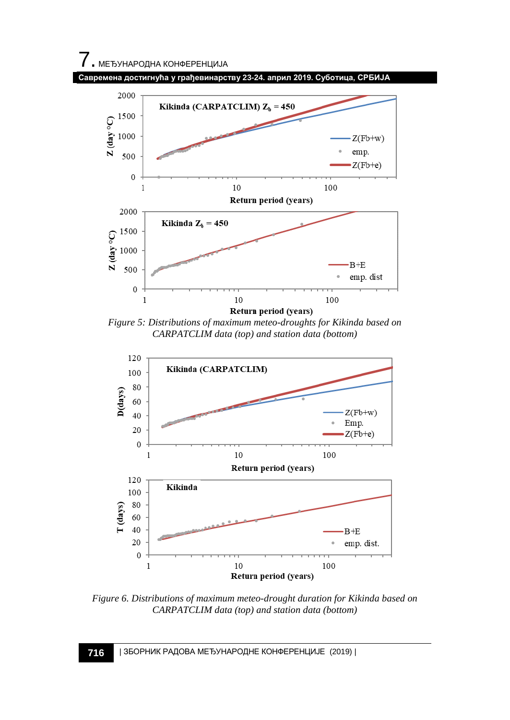





*Figure 5: Distributions of maximum meteo-droughts for Kikinda based on CARPATCLIM data (top) and station data (bottom)*



*Figure 6. Distributions of maximum meteo-drought duration for Kikinda based on CARPATCLIM data (top) and station data (bottom)*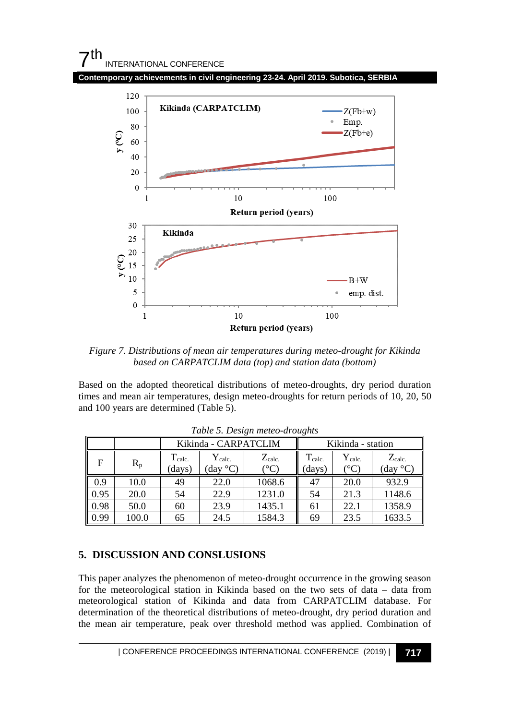

*Figure 7. Distributions of mean air temperatures during meteo-drought for Kikinda based on CARPATCLIM data (top) and station data (bottom)*

Based on the adopted theoretical distributions of meteo-droughts, dry period duration times and mean air temperatures, design meteo-droughts for return periods of 10, 20, 50 and 100 years are determined (Table 5).

|      |         | Kikinda - CARPATCLIM  |                                               | Kikinda - station                       |                               |                                     |                         |
|------|---------|-----------------------|-----------------------------------------------|-----------------------------------------|-------------------------------|-------------------------------------|-------------------------|
| F    | $R_{p}$ | $T_{calc.}$<br>(days) | $Y_{\rm calc.}$<br>$\langle$ day $\langle$ C) | $Z_{\rm calc.}$<br>$^{\circ}\mathrm{C}$ | T <sub>calc</sub> .<br>(days) | $Y_{calc.}$<br>$^{\circ}\mathrm{C}$ | $Z_{calc.}$<br>(day °C) |
| 0.9  | 10.0    | 49                    | 22.0                                          | 1068.6                                  | 47                            | 20.0                                | 932.9                   |
| 0.95 | 20.0    | 54                    | 22.9                                          | 1231.0                                  | 54                            | 21.3                                | 1148.6                  |
| 0.98 | 50.0    | 60                    | 23.9                                          | 1435.1                                  | 61                            | 22.1                                | 1358.9                  |
| 0.99 | 100.0   | 65                    | 24.5                                          | 1584.3                                  | 69                            | 23.5                                | 1633.5                  |

*Table 5. Design meteo-droughts*

#### **5. DISCUSSION AND CONSLUSIONS**

This paper analyzes the phenomenon of meteo-drought occurrence in the growing season for the meteorological station in Kikinda based on the two sets of data – data from meteorological station of Kikinda and data from CARPATCLIM database. For determination of the theoretical distributions of meteo-drought, dry period duration and the mean air temperature, peak over threshold method was applied. Combination of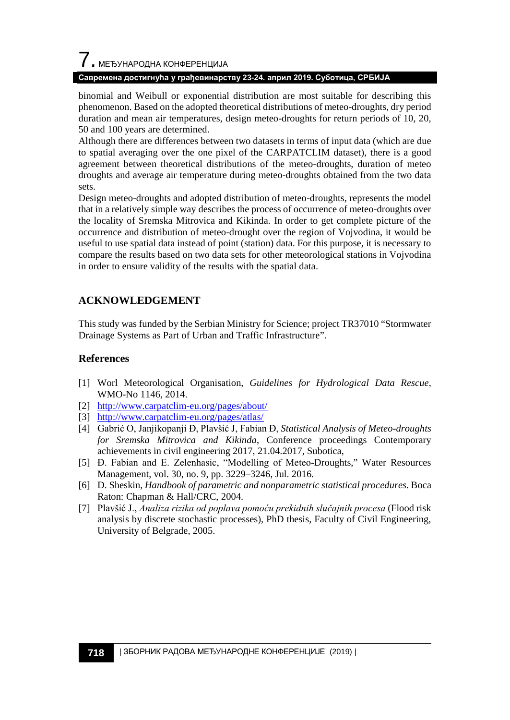## $\overline{\phantom{a}}$ . МЕЂУНАРОДНА КОНФЕРЕНЦИЈА

#### **Савремена достигнућа у грађевинарству 23-24. април 2019. Суботица, СРБИЈА**

binomial and Weibull or exponential distribution are most suitable for describing this phenomenon. Based on the adopted theoretical distributions of meteo-droughts, dry period duration and mean air temperatures, design meteo-droughts for return periods of 10, 20, 50 and 100 years are determined.

Although there are differences between two datasets in terms of input data (which are due to spatial averaging over the one pixel of the CARPATCLIM dataset), there is a good agreement between theoretical distributions of the meteo-droughts, duration of meteo droughts and average air temperature during meteo-droughts obtained from the two data sets.

Design meteo-droughts and adopted distribution of meteo-droughts, represents the model that in a relatively simple way describes the process of occurrence of meteo-droughts over the locality of Sremska Mitrovica and Kikinda. In order to get complete picture of the occurrence and distribution of meteo-drought over the region of Vojvodina, it would be useful to use spatial data instead of point (station) data. For this purpose, it is necessary to compare the results based on two data sets for other meteorological stations in Vojvodina in order to ensure validity of the results with the spatial data.

## **ACKNOWLEDGEMENT**

This study was funded by the Serbian Ministry for Science; project TR37010 "Stormwater Drainage Systems as Part of Urban and Traffic Infrastructure".

#### **References**

- [1] Worl Meteorological Organisation, *Guidelines for Hydrological Data Rescue*, WMO-No 1146, 2014.
- [2] <http://www.carpatclim-eu.org/pages/about/>
- [3] <http://www.carpatclim-eu.org/pages/atlas/>
- [4] Gabrić O, Janjikopanji Đ, Plavšić J, Fabian Đ, *Statistical Analysis of Meteo-droughts for Sremska Mitrovica and Kikinda*, Conference proceedings Contemporary achievements in civil engineering 2017, 21.04.2017, Subotica,
- [5] Đ. Fabian and E. Zelenhasic, "Modelling of Meteo-Droughts," Water Resources Management, vol. 30, no. 9, pp. 3229–3246, Jul. 2016.
- [6] D. Sheskin, *Handbook of parametric and nonparametric statistical procedures*. Boca Raton: Chapman & Hall/CRC, 2004.
- [7] Plavšić J., *Analiza rizika od poplava pomoću prekidnih slučajnih procesa* (Flood risk analysis by discrete stochastic processes), PhD thesis, Faculty of Civil Engineering, University of Belgrade, 2005.